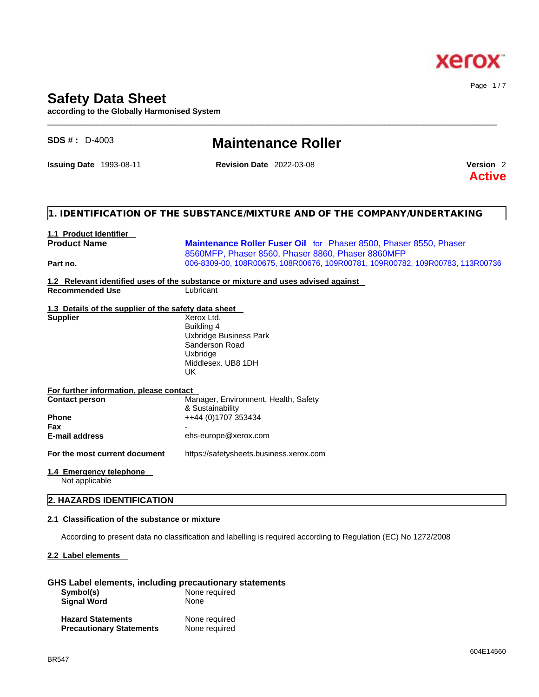

Page 1 / 7

# **Safety Data Sheet**

**according to the Globally Harmonised System**

| <b>SDS #: D-4003</b>                                 | <b>Maintenance Roller</b>                                                                                              |                                       |
|------------------------------------------------------|------------------------------------------------------------------------------------------------------------------------|---------------------------------------|
| <b>Issuing Date 1993-08-11</b>                       | <b>Revision Date 2022-03-08</b>                                                                                        | Version <sub>2</sub><br><b>Active</b> |
|                                                      | 1. IDENTIFICATION OF THE SUBSTANCE/MIXTURE AND OF THE COMPANY/UNDERTAKING                                              |                                       |
| 1.1 Product Identifier                               |                                                                                                                        |                                       |
| <b>Product Name</b>                                  | Maintenance Roller Fuser Oil for Phaser 8500, Phaser 8550, Phaser<br>8560MFP, Phaser 8560, Phaser 8860, Phaser 8860MFP |                                       |
| Part no.                                             | 006-8309-00, 108R00675, 108R00676, 109R00781, 109R00782, 109R00783, 113R00736                                          |                                       |
| <b>Recommended Use</b>                               | 1.2 Relevant identified uses of the substance or mixture and uses advised against<br>Lubricant                         |                                       |
| 1.3 Details of the supplier of the safety data sheet |                                                                                                                        |                                       |
| <b>Supplier</b>                                      | Xerox Ltd.<br>Building 4<br>Uxbridge Business Park<br>Sanderson Road<br>Uxbridge<br>Middlesex. UB8 1DH<br><b>UK</b>    |                                       |
| For further information, please contact              |                                                                                                                        |                                       |
| <b>Contact person</b>                                | Manager, Environment, Health, Safety<br>& Sustainability                                                               |                                       |
| Phone                                                | ++44 (0)1707 353434                                                                                                    |                                       |
| <b>Fax</b>                                           |                                                                                                                        |                                       |
| <b>E-mail address</b>                                | ehs-europe@xerox.com                                                                                                   |                                       |
| For the most current document                        | https://safetysheets.business.xerox.com                                                                                |                                       |
| 1.4 Emergency telephone<br>Not applicable            |                                                                                                                        |                                       |
| 2. HAZARDS IDENTIFICATION                            |                                                                                                                        |                                       |

 $\_$  ,  $\_$  ,  $\_$  ,  $\_$  ,  $\_$  ,  $\_$  ,  $\_$  ,  $\_$  ,  $\_$  ,  $\_$  ,  $\_$  ,  $\_$  ,  $\_$  ,  $\_$  ,  $\_$  ,  $\_$  ,  $\_$  ,  $\_$  ,  $\_$  ,  $\_$  ,  $\_$  ,  $\_$  ,  $\_$  ,  $\_$  ,  $\_$  ,  $\_$  ,  $\_$  ,  $\_$  ,  $\_$  ,  $\_$  ,  $\_$  ,  $\_$  ,  $\_$  ,  $\_$  ,  $\_$  ,  $\_$  ,  $\_$  ,

## **2.1 Classification of the substance or mixture**

According to present data no classification and labelling is required according to Regulation (EC) No 1272/2008

## **2.2 Label elements**

# **GHS Label elements, including precautionary statements**

| Symbol(s)                       | None required |
|---------------------------------|---------------|
| <b>Signal Word</b>              | None          |
| <b>Hazard Statements</b>        | None required |
| <b>Precautionary Statements</b> | None required |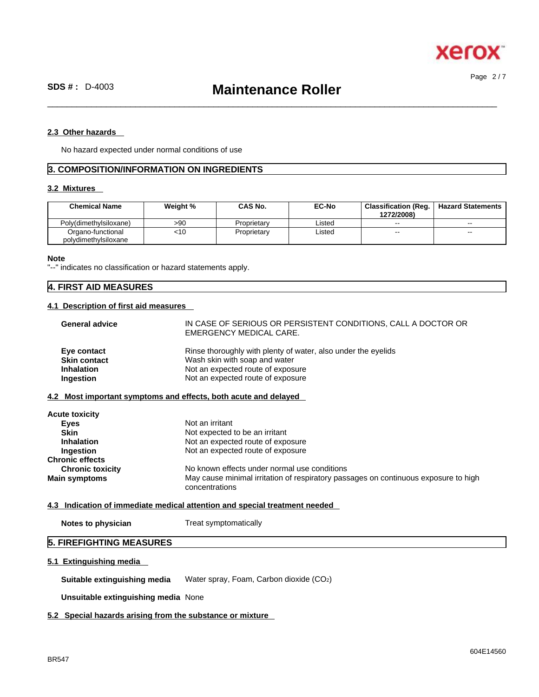

Page 2 / 7

 $\_$  ,  $\_$  ,  $\_$  ,  $\_$  ,  $\_$  ,  $\_$  ,  $\_$  ,  $\_$  ,  $\_$  ,  $\_$  ,  $\_$  ,  $\_$  ,  $\_$  ,  $\_$  ,  $\_$  ,  $\_$  ,  $\_$  ,  $\_$  ,  $\_$  ,  $\_$  ,  $\_$  ,  $\_$  ,  $\_$  ,  $\_$  ,  $\_$  ,  $\_$  ,  $\_$  ,  $\_$  ,  $\_$  ,  $\_$  ,  $\_$  ,  $\_$  ,  $\_$  ,  $\_$  ,  $\_$  ,  $\_$  ,  $\_$  ,

## **2.3 Other hazards**

No hazard expected under normal conditions of use

# **3. COMPOSITION/INFORMATION ON INGREDIENTS**

# **3.2 Mixtures**

| <b>Chemical Name</b>                      | Weight % | <b>CAS No.</b> | <b>EC-No</b> | <b>Classification (Reg.</b><br>1272/2008) | <b>Hazard Statements</b> |
|-------------------------------------------|----------|----------------|--------------|-------------------------------------------|--------------------------|
| Polv(dimethvlsiloxane)                    | >90      | Proprietary    | Listed       | $\sim$ $\sim$                             | $- -$                    |
| Organo-functional<br>polydimethylsiloxane | <10      | Proprietary    | Listed       | $\sim$                                    | $- -$                    |

#### **Note**

"--" indicates no classification or hazard statements apply.

# **4. FIRST AID MEASURES**

## **4.1 Description of first aid measures**

| <b>General advice</b> | IN CASE OF SERIOUS OR PERSISTENT CONDITIONS, CALL A DOCTOR OR<br>EMERGENCY MEDICAL CARE. |
|-----------------------|------------------------------------------------------------------------------------------|
| Eye contact           | Rinse thoroughly with plenty of water, also under the eyelids                            |
| <b>Skin contact</b>   | Wash skin with soap and water                                                            |
| <b>Inhalation</b>     | Not an expected route of exposure                                                        |
| Ingestion             | Not an expected route of exposure                                                        |

# **4.2 Most important symptoms and effects, both acute and delayed**

| Not an irritant                                                                                       |
|-------------------------------------------------------------------------------------------------------|
| Not expected to be an irritant                                                                        |
| Not an expected route of exposure                                                                     |
| Not an expected route of exposure                                                                     |
|                                                                                                       |
| No known effects under normal use conditions                                                          |
| May cause minimal irritation of respiratory passages on continuous exposure to high<br>concentrations |
|                                                                                                       |

# **4.3 Indication of immediate medical attention and special treatment needed**

**Notes to physician** Treat symptomatically

# **5. FIREFIGHTING MEASURES**

# **5.1 Extinguishing media**

**Suitable extinguishing media** Water spray, Foam, Carbon dioxide (CO2)

**Unsuitable extinguishing media** None

# **5.2 Special hazards arising from the substance or mixture**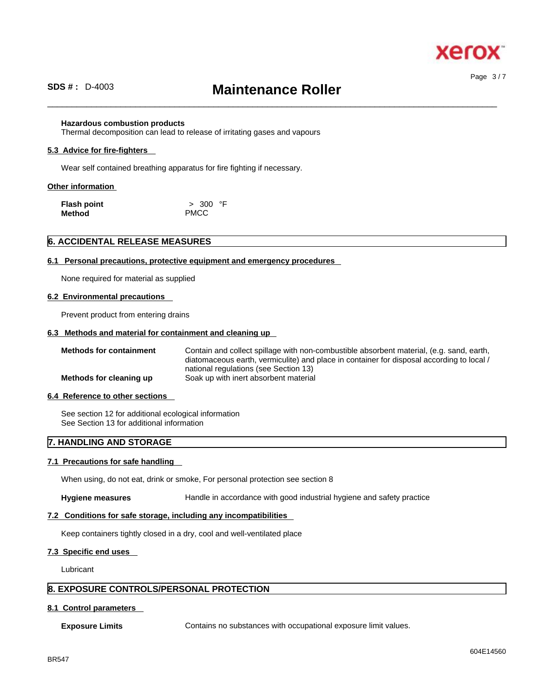

# **SDS # :** D-4003 **Maintenance Roller**

 $\_$  ,  $\_$  ,  $\_$  ,  $\_$  ,  $\_$  ,  $\_$  ,  $\_$  ,  $\_$  ,  $\_$  ,  $\_$  ,  $\_$  ,  $\_$  ,  $\_$  ,  $\_$  ,  $\_$  ,  $\_$  ,  $\_$  ,  $\_$  ,  $\_$  ,  $\_$  ,  $\_$  ,  $\_$  ,  $\_$  ,  $\_$  ,  $\_$  ,  $\_$  ,  $\_$  ,  $\_$  ,  $\_$  ,  $\_$  ,  $\_$  ,  $\_$  ,  $\_$  ,  $\_$  ,  $\_$  ,  $\_$  ,  $\_$  ,

### **Hazardous combustion products**

Thermal decomposition can lead to release of irritating gases and vapours

#### **5.3 Advice for fire-fighters**

Wear self contained breathing apparatus for fire fighting if necessary.

### **Other information**

| Flash point | > 300 °F    |
|-------------|-------------|
| Method      | <b>PMCC</b> |

### **6. ACCIDENTAL RELEASE MEASURES**

### **6.1 Personal precautions, protective equipment and emergency procedures**

None required for material as supplied

#### **6.2 Environmental precautions**

Prevent product from entering drains

### **6.3 Methods and material for containment and cleaning up**

**Methods for containment** Contain and collect spillage with non-combustible absorbent material, (e.g. sand, earth, diatomaceous earth, vermiculite) and place in container for disposal according to local / national regulations (see Section 13) **Methods for cleaning up** Soak up with inert absorbent material

## **6.4 Reference to other sections**

See section 12 for additional ecological information See Section 13 for additional information

# **7. HANDLING AND STORAGE**

### **7.1 Precautions for safe handling**

When using, do not eat, drink or smoke, For personal protection see section 8

**Hygiene measures** Handle in accordance with good industrial hygiene and safety practice

# **7.2 Conditions for safe storage, including any incompatibilities**

Keep containers tightly closed in a dry, cool and well-ventilated place

# **7.3 Specific end uses**

Lubricant

# **8. EXPOSURE CONTROLS/PERSONAL PROTECTION**

## **8.1 Control parameters**

**Exposure Limits** Contains no substances with occupational exposure limit values.

Page 3 / 7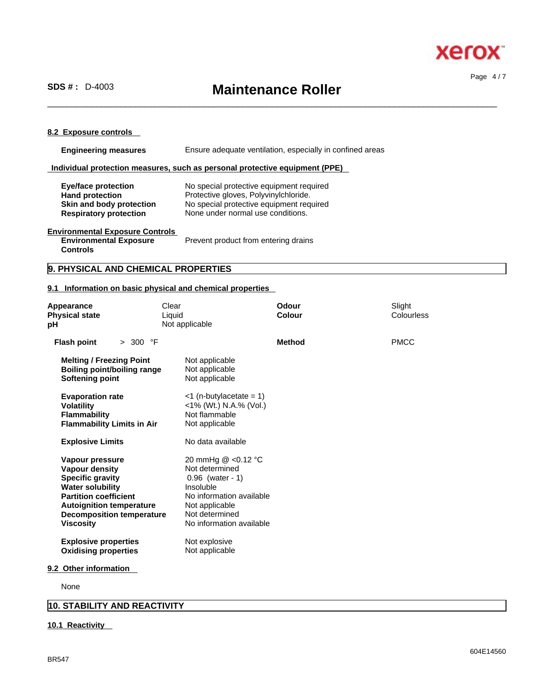

# **SDS # :** D-4003 **Maintenance Roller**

 $\_$  ,  $\_$  ,  $\_$  ,  $\_$  ,  $\_$  ,  $\_$  ,  $\_$  ,  $\_$  ,  $\_$  ,  $\_$  ,  $\_$  ,  $\_$  ,  $\_$  ,  $\_$  ,  $\_$  ,  $\_$  ,  $\_$  ,  $\_$  ,  $\_$  ,  $\_$  ,  $\_$  ,  $\_$  ,  $\_$  ,  $\_$  ,  $\_$  ,  $\_$  ,  $\_$  ,  $\_$  ,  $\_$  ,  $\_$  ,  $\_$  ,  $\_$  ,  $\_$  ,  $\_$  ,  $\_$  ,  $\_$  ,  $\_$  ,

Page 4 / 7

## **8.2 Exposure controls**

| <b>Engineering measures</b>                                                                                       | Ensure adequate ventilation, especially in confined areas                                                                                                          |  |
|-------------------------------------------------------------------------------------------------------------------|--------------------------------------------------------------------------------------------------------------------------------------------------------------------|--|
|                                                                                                                   | Individual protection measures, such as personal protective equipment (PPE)                                                                                        |  |
| <b>Eye/face protection</b><br><b>Hand protection</b><br>Skin and body protection<br><b>Respiratory protection</b> | No special protective equipment required<br>Protective gloves, Polyvinylchloride.<br>No special protective equipment required<br>None under normal use conditions. |  |
| <b>Environmental Exposure Controls</b><br><b>Environmental Exposure</b>                                           | Prevent product from entering drains                                                                                                                               |  |

# **Controls**

# **9. PHYSICAL AND CHEMICAL PROPERTIES**

# **9.1 Information on basic physical and chemical properties**

| Appearance<br><b>Physical state</b><br>рH                                                                                                                                                                                 | Clear<br>Liquid<br>Not applicable                                                                                                                                   | Odour<br>Colour | Slight<br>Colourless |
|---------------------------------------------------------------------------------------------------------------------------------------------------------------------------------------------------------------------------|---------------------------------------------------------------------------------------------------------------------------------------------------------------------|-----------------|----------------------|
| > 300 °F<br><b>Flash point</b>                                                                                                                                                                                            |                                                                                                                                                                     | <b>Method</b>   | <b>PMCC</b>          |
| <b>Melting / Freezing Point</b><br><b>Boiling point/boiling range</b><br><b>Softening point</b>                                                                                                                           | Not applicable<br>Not applicable<br>Not applicable                                                                                                                  |                 |                      |
| <b>Evaporation rate</b><br><b>Volatility</b><br><b>Flammability</b><br><b>Flammability Limits in Air</b>                                                                                                                  | $<$ 1 (n-butylacetate = 1)<br><1% (Wt.) N.A.% (Vol.)<br>Not flammable<br>Not applicable                                                                             |                 |                      |
| <b>Explosive Limits</b>                                                                                                                                                                                                   | No data available                                                                                                                                                   |                 |                      |
| Vapour pressure<br><b>Vapour density</b><br><b>Specific gravity</b><br><b>Water solubility</b><br><b>Partition coefficient</b><br><b>Autoignition temperature</b><br><b>Decomposition temperature</b><br><b>Viscosity</b> | 20 mmHg @ <0.12 °C<br>Not determined<br>$0.96$ (water - 1)<br>Insoluble<br>No information available<br>Not applicable<br>Not determined<br>No information available |                 |                      |
| <b>Explosive properties</b><br><b>Oxidising properties</b><br>9.2 Other information                                                                                                                                       | Not explosive<br>Not applicable                                                                                                                                     |                 |                      |

None

# **10. STABILITY AND REACTIVITY**

## **10.1 Reactivity**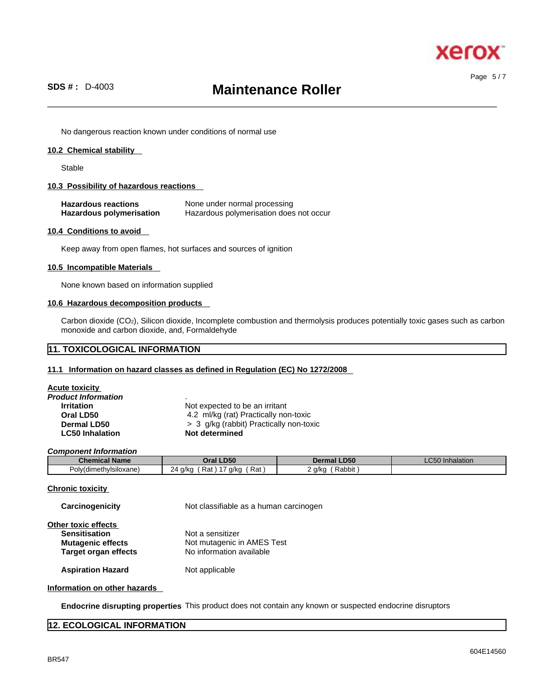

Page 5 / 7

# **SDS # :** D-4003 **Maintenance Roller**

 $\_$  ,  $\_$  ,  $\_$  ,  $\_$  ,  $\_$  ,  $\_$  ,  $\_$  ,  $\_$  ,  $\_$  ,  $\_$  ,  $\_$  ,  $\_$  ,  $\_$  ,  $\_$  ,  $\_$  ,  $\_$  ,  $\_$  ,  $\_$  ,  $\_$  ,  $\_$  ,  $\_$  ,  $\_$  ,  $\_$  ,  $\_$  ,  $\_$  ,  $\_$  ,  $\_$  ,  $\_$  ,  $\_$  ,  $\_$  ,  $\_$  ,  $\_$  ,  $\_$  ,  $\_$  ,  $\_$  ,  $\_$  ,  $\_$  ,

No dangerous reaction known under conditions of normal use

### **10.2 Chemical stability**

Stable

### **10.3 Possibility of hazardous reactions**

| <b>Hazardous reactions</b> | None under normal processing            |
|----------------------------|-----------------------------------------|
| Hazardous polymerisation   | Hazardous polymerisation does not occur |

## **10.4 Conditions to avoid**

Keep away from open flames, hot surfaces and sources of ignition

#### **10.5 Incompatible Materials**

None known based on information supplied

### **10.6 Hazardous decomposition products**

Carbon dioxide (CO2), Silicon dioxide, Incomplete combustion and thermolysis produces potentially toxic gases such as carbon monoxide and carbon dioxide, and, Formaldehyde

# **11. TOXICOLOGICAL INFORMATION**

### **11.1 Information on hazard classes as defined in Regulation (EC) No 1272/2008**

| Acute toxicity         |                                         |
|------------------------|-----------------------------------------|
| Product Information    | $\cdot$                                 |
| <b>Irritation</b>      | Not expected to be an irritant          |
| Oral LD50              | 4.2 ml/kg (rat) Practically non-toxic   |
| Dermal LD50            | > 3 g/kg (rabbit) Practically non-toxic |
| <b>LC50 Inhalation</b> | Not determined                          |
|                        |                                         |

*Component Information* 

| <b>Chemical Name</b>         | <b>D50</b><br>Oral                                                  | <b>D50</b><br>Dermal | <b>LC50 Inhalation</b> |
|------------------------------|---------------------------------------------------------------------|----------------------|------------------------|
| Polv(dimeth'<br>าvisiloxane) | Rat<br>$\overline{\phantom{a}}$<br>a/ka<br>Rat<br>a/ko<br>__<br>. . | Rabbit<br>g/kg       |                        |

## **Chronic toxicity**

| Carcinogenicity             | Not classifiable as a human carcinogen |  |
|-----------------------------|----------------------------------------|--|
| Other toxic effects         |                                        |  |
| <b>Sensitisation</b>        | Not a sensitizer                       |  |
| <b>Mutagenic effects</b>    | Not mutagenic in AMES Test             |  |
| <b>Target organ effects</b> | No information available               |  |
| <b>Aspiration Hazard</b>    | Not applicable                         |  |

### **Information on other hazards**

**Endocrine disrupting properties** This product does not contain any known or suspected endocrine disruptors

# **12. ECOLOGICAL INFORMATION**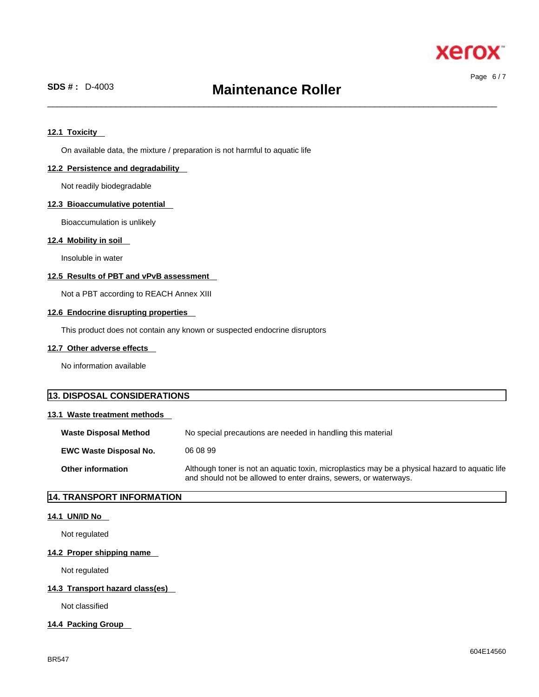

Page 6 / 7

 $\_$  ,  $\_$  ,  $\_$  ,  $\_$  ,  $\_$  ,  $\_$  ,  $\_$  ,  $\_$  ,  $\_$  ,  $\_$  ,  $\_$  ,  $\_$  ,  $\_$  ,  $\_$  ,  $\_$  ,  $\_$  ,  $\_$  ,  $\_$  ,  $\_$  ,  $\_$  ,  $\_$  ,  $\_$  ,  $\_$  ,  $\_$  ,  $\_$  ,  $\_$  ,  $\_$  ,  $\_$  ,  $\_$  ,  $\_$  ,  $\_$  ,  $\_$  ,  $\_$  ,  $\_$  ,  $\_$  ,  $\_$  ,  $\_$  ,

# **12.1 Toxicity**

On available data, the mixture / preparation is not harmful to aquatic life

### **12.2 Persistence and degradability**

Not readily biodegradable

### **12.3 Bioaccumulative potential**

Bioaccumulation is unlikely

### **12.4 Mobility in soil**

Insoluble in water

### **12.5 Results of PBT and vPvB assessment**

Not a PBT according to REACH Annex XIII

### **12.6 Endocrine disrupting properties**

This product does not contain any known or suspected endocrine disruptors

### **12.7 Other adverse effects**

No information available

# **13. DISPOSAL CONSIDERATIONS 13.1 Waste treatment methods Waste Disposal Method** No special precautions are needed in handling this material **EWC Waste Disposal No.** 06 08 99 **Other information** Although toner is not an aquatic toxin, microplastics may be a physical hazard to aquatic life and should not be allowed to enter drains, sewers, or waterways.

# **14. TRANSPORT INFORMATION**

### **14.1 UN/ID No**

Not regulated

### **14.2 Proper shipping name**

Not regulated

### **14.3 Transport hazard class(es)**

Not classified

## **14.4 Packing Group**